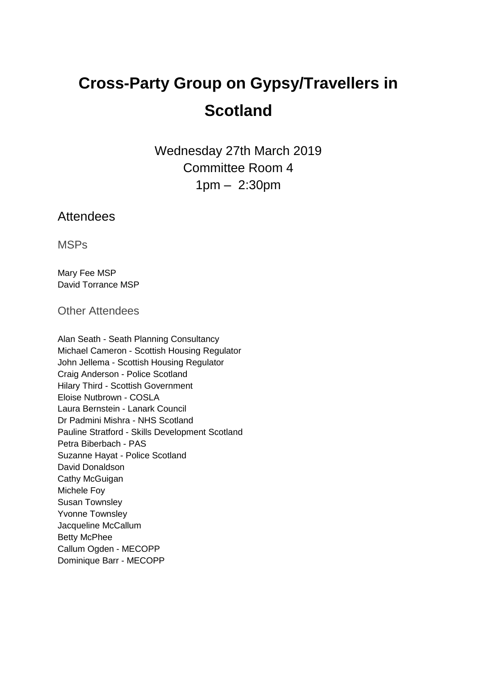# **Cross-Party Group on Gypsy/Travellers in Scotland**

Wednesday 27th March 2019 Committee Room 4 1pm – 2:30pm

# Attendees

MSPs

Mary Fee MSP David Torrance MSP

Other Attendees

Alan Seath - Seath Planning Consultancy Michael Cameron - Scottish Housing Regulator John Jellema - Scottish Housing Regulator Craig Anderson - Police Scotland Hilary Third - Scottish Government Eloise Nutbrown - COSLA Laura Bernstein - Lanark Council Dr Padmini Mishra - NHS Scotland Pauline Stratford - Skills Development Scotland Petra Biberbach - PAS Suzanne Hayat - Police Scotland David Donaldson Cathy McGuigan Michele Foy Susan Townsley Yvonne Townsley Jacqueline McCallum Betty McPhee Callum Ogden - MECOPP Dominique Barr - MECOPP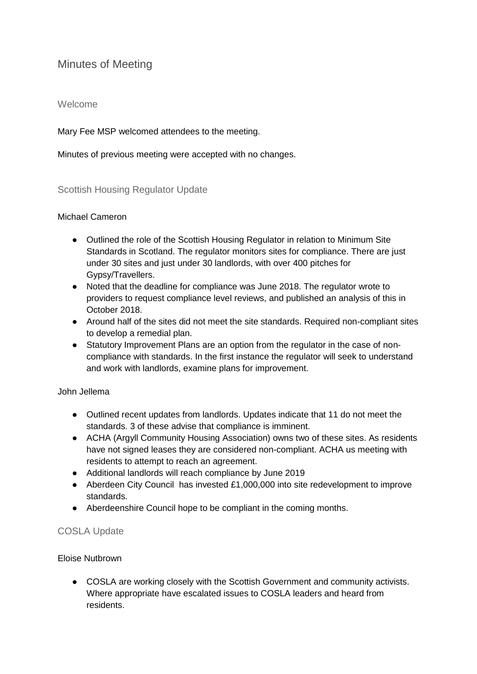# Minutes of Meeting

# Welcome

Mary Fee MSP welcomed attendees to the meeting.

Minutes of previous meeting were accepted with no changes.

#### Scottish Housing Regulator Update

#### Michael Cameron

- Outlined the role of the Scottish Housing Regulator in relation to Minimum Site Standards in Scotland. The regulator monitors sites for compliance. There are just under 30 sites and just under 30 landlords, with over 400 pitches for Gypsy/Travellers.
- Noted that the deadline for compliance was June 2018. The regulator wrote to providers to request compliance level reviews, and published an analysis of this in October 2018.
- Around half of the sites did not meet the site standards. Required non-compliant sites to develop a remedial plan.
- Statutory Improvement Plans are an option from the regulator in the case of noncompliance with standards. In the first instance the regulator will seek to understand and work with landlords, examine plans for improvement.

#### John Jellema

- Outlined recent updates from landlords. Updates indicate that 11 do not meet the standards. 3 of these advise that compliance is imminent.
- ACHA (Argyll Community Housing Association) owns two of these sites. As residents have not signed leases they are considered non-compliant. ACHA us meeting with residents to attempt to reach an agreement.
- Additional landlords will reach compliance by June 2019
- Aberdeen City Council has invested £1,000,000 into site redevelopment to improve standards.
- Aberdeenshire Council hope to be compliant in the coming months.

# COSLA Update

# Eloise Nutbrown

● COSLA are working closely with the Scottish Government and community activists. Where appropriate have escalated issues to COSLA leaders and heard from residents.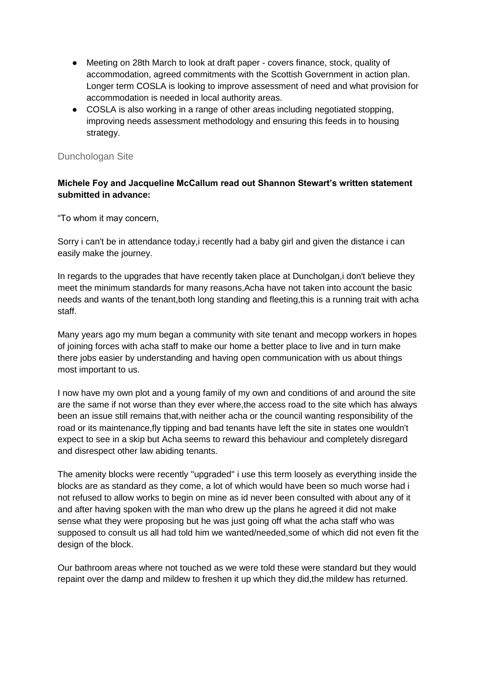- Meeting on 28th March to look at draft paper covers finance, stock, quality of accommodation, agreed commitments with the Scottish Government in action plan. Longer term COSLA is looking to improve assessment of need and what provision for accommodation is needed in local authority areas.
- COSLA is also working in a range of other areas including negotiated stopping, improving needs assessment methodology and ensuring this feeds in to housing strategy.

# Dunchologan Site

# **Michele Foy and Jacqueline McCallum read out Shannon Stewart's written statement submitted in advance:**

"To whom it may concern,

Sorry i can't be in attendance today,i recently had a baby girl and given the distance i can easily make the journey.

In regards to the upgrades that have recently taken place at Duncholgan,i don't believe they meet the minimum standards for many reasons,Acha have not taken into account the basic needs and wants of the tenant,both long standing and fleeting,this is a running trait with acha staff.

Many years ago my mum began a community with site tenant and mecopp workers in hopes of joining forces with acha staff to make our home a better place to live and in turn make there jobs easier by understanding and having open communication with us about things most important to us.

I now have my own plot and a young family of my own and conditions of and around the site are the same if not worse than they ever where,the access road to the site which has always been an issue still remains that,with neither acha or the council wanting responsibility of the road or its maintenance,fly tipping and bad tenants have left the site in states one wouldn't expect to see in a skip but Acha seems to reward this behaviour and completely disregard and disrespect other law abiding tenants.

The amenity blocks were recently ''upgraded'' i use this term loosely as everything inside the blocks are as standard as they come, a lot of which would have been so much worse had i not refused to allow works to begin on mine as id never been consulted with about any of it and after having spoken with the man who drew up the plans he agreed it did not make sense what they were proposing but he was just going off what the acha staff who was supposed to consult us all had told him we wanted/needed,some of which did not even fit the design of the block.

Our bathroom areas where not touched as we were told these were standard but they would repaint over the damp and mildew to freshen it up which they did,the mildew has returned.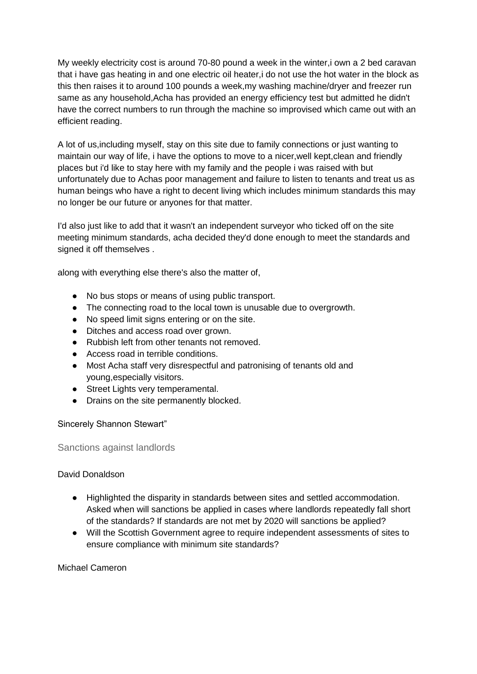My weekly electricity cost is around 70-80 pound a week in the winter,i own a 2 bed caravan that i have gas heating in and one electric oil heater,i do not use the hot water in the block as this then raises it to around 100 pounds a week,my washing machine/dryer and freezer run same as any household,Acha has provided an energy efficiency test but admitted he didn't have the correct numbers to run through the machine so improvised which came out with an efficient reading.

A lot of us,including myself, stay on this site due to family connections or just wanting to maintain our way of life, i have the options to move to a nicer,well kept,clean and friendly places but i'd like to stay here with my family and the people i was raised with but unfortunately due to Achas poor management and failure to listen to tenants and treat us as human beings who have a right to decent living which includes minimum standards this may no longer be our future or anyones for that matter.

I'd also just like to add that it wasn't an independent surveyor who ticked off on the site meeting minimum standards, acha decided they'd done enough to meet the standards and signed it off themselves .

along with everything else there's also the matter of,

- No bus stops or means of using public transport.
- The connecting road to the local town is unusable due to overgrowth.
- No speed limit signs entering or on the site.
- Ditches and access road over grown.
- Rubbish left from other tenants not removed.
- Access road in terrible conditions.
- Most Acha staff very disrespectful and patronising of tenants old and young,especially visitors.
- Street Lights very temperamental.
- Drains on the site permanently blocked.

#### Sincerely Shannon Stewart"

#### Sanctions against landlords

#### David Donaldson

- Highlighted the disparity in standards between sites and settled accommodation. Asked when will sanctions be applied in cases where landlords repeatedly fall short of the standards? If standards are not met by 2020 will sanctions be applied?
- Will the Scottish Government agree to require independent assessments of sites to ensure compliance with minimum site standards?

#### Michael Cameron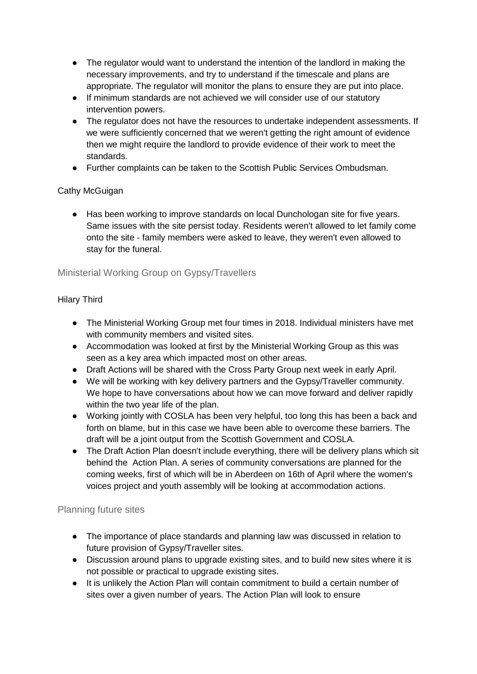- The regulator would want to understand the intention of the landlord in making the necessary improvements, and try to understand if the timescale and plans are appropriate. The regulator will monitor the plans to ensure they are put into place.
- If minimum standards are not achieved we will consider use of our statutory intervention powers.
- The regulator does not have the resources to undertake independent assessments. If we were sufficiently concerned that we weren't getting the right amount of evidence then we might require the landlord to provide evidence of their work to meet the standards.
- Further complaints can be taken to the Scottish Public Services Ombudsman.

# Cathy McGuigan

● Has been working to improve standards on local Dunchologan site for five years. Same issues with the site persist today. Residents weren't allowed to let family come onto the site - family members were asked to leave, they weren't even allowed to stay for the funeral.

# Ministerial Working Group on Gypsy/Travellers

# Hilary Third

- The Ministerial Working Group met four times in 2018. Individual ministers have met with community members and visited sites.
- Accommodation was looked at first by the Ministerial Working Group as this was seen as a key area which impacted most on other areas.
- Draft Actions will be shared with the Cross Party Group next week in early April.
- We will be working with key delivery partners and the Gypsy/Traveller community. We hope to have conversations about how we can move forward and deliver rapidly within the two year life of the plan.
- Working jointly with COSLA has been very helpful, too long this has been a back and forth on blame, but in this case we have been able to overcome these barriers. The draft will be a joint output from the Scottish Government and COSLA.
- The Draft Action Plan doesn't include everything, there will be delivery plans which sit behind the Action Plan. A series of community conversations are planned for the coming weeks, first of which will be in Aberdeen on 16th of April where the women's voices project and youth assembly will be looking at accommodation actions.

# Planning future sites

- The importance of place standards and planning law was discussed in relation to future provision of Gypsy/Traveller sites.
- Discussion around plans to upgrade existing sites, and to build new sites where it is not possible or practical to upgrade existing sites.
- It is unlikely the Action Plan will contain commitment to build a certain number of sites over a given number of years. The Action Plan will look to ensure